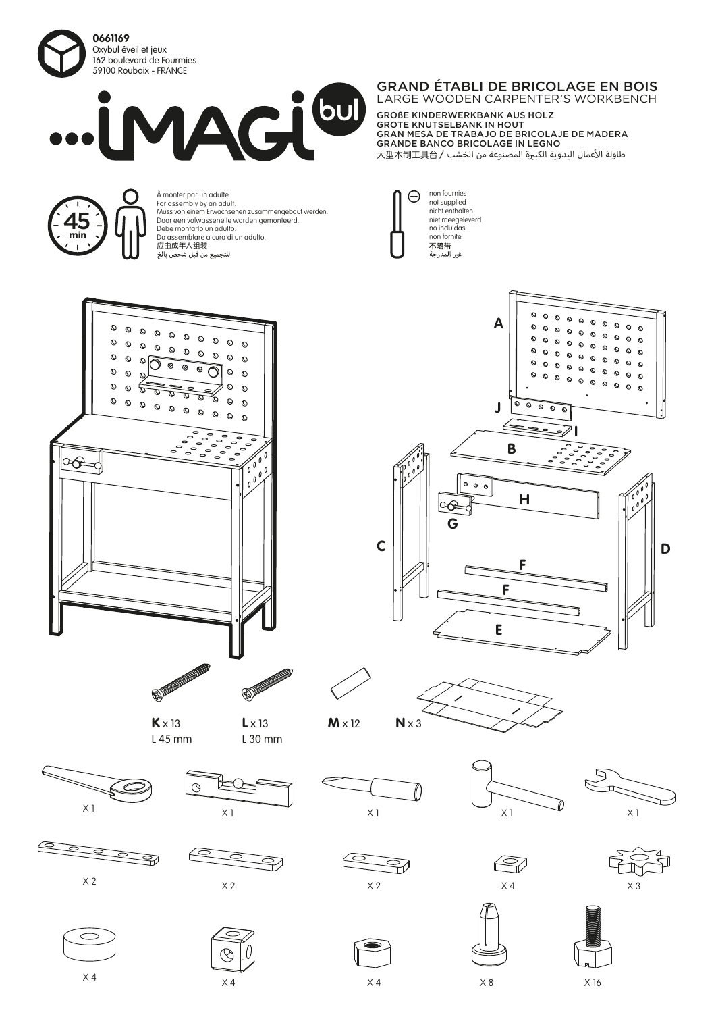

45 **min**



À monter par un adulte. For assembly by an adult.

应由成年人组装<br>للتجميع من قبل شخص بالغ

Debe montarlo un adulto. Da assemblare a cura di un adulto.

Muss von einem Erwachsenen zusammengebaut werden. Door een volwassene te worden gemonteerd.

## GRAND ÉTABLI DE BRICOLAGE EN BOIS LARGE WOODEN CARPENTER'S WORKBENCH

**H**

**F**

**B**

∠∙

 $\overline{c}$ ہ  $\circ$  $\mathbf c$ 

**E**

**F**

**G**

**GO** 

 $\circ$   $\circ$ 

non fournies not supplied nicht enthalten niet meegeleverd no incluidas non fornite<br>不随带<br>غير المدرجة

 $\bigoplus$ 

**A**

 $\circ$  $\circ$  $\circ$  $\circ$  $\circ$  $\circ$  $\circ$  $\circ$ 

 $\circ$ 

 $\circ$ 

 $\circ$  $\circ$ 

 $\circ$  $\Omega$ 

 $\circ$  $\epsilon$ 

 $\circ$  $\Omega$ 

**J**

**I**

GROßE KINDERWERKBANK AUS HOLZ GROTE KNUTSELBANK IN HOUT GRAN MESA DE TRABAJO DE BRICOLAJE DE MADERA GRANDE BANCO BRICOLAGE IN LEGNO S طاولة الأعمال اليدوية الكبيرة المصنوعة من الخشب 大型木制工具台 /





L 30 mm



X 2

 $\geq$ 

X 4



3





**C**











⋧







 $\times$  4  $\times$  8  $\times$  16

 $\overline{9}$ 

**D**

 $\circ$ 

 $\circ$ 

 $\circ$ 

 $\Omega$  $\circ$  $\circ$  $\circ$ 

 $\Omega$  $\circ$  $\circ$ 

 $\mathbf{r}$ 

 $\circ$  $\circ$  $\circ$ 

 $\circ$  $\circ$  $\circ$ 

 $\circ$